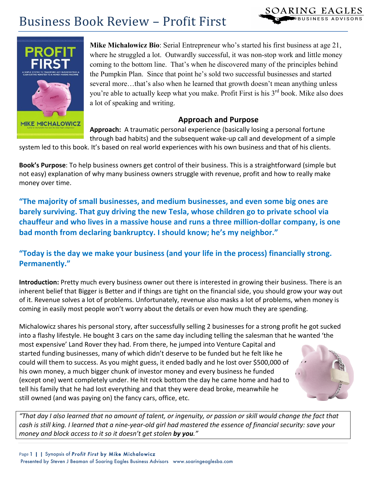

**Mike Michalowicz Bio**: Serial Entrepreneur who's started his first business at age 21, where he struggled a lot. Outwardly successful, it was non-stop work and little money coming to the bottom line. That's when he discovered many of the principles behind the Pumpkin Plan. Since that point he's sold two successful businesses and started several more…that's also when he learned that growth doesn't mean anything unless you're able to actually keep what you make. Profit First is his 3<sup>rd</sup> book. Mike also does a lot of speaking and writing.

#### **Approach and Purpose**

Approach: A traumatic personal experience (basically losing a personal fortune through bad habits) and the subsequent wake-up call and development of a simple

system led to this book. It's based on real world experiences with his own business and that of his clients.

**Book's Purpose**: To help business owners get control of their business. This is a straightforward (simple but not easy) explanation of why many business owners struggle with revenue, profit and how to really make money over time.

"The majority of small businesses, and medium businesses, and even some big ones are barely surviving. That guy driving the new Tesla, whose children go to private school via chauffeur and who lives in a massive house and runs a three million-dollar company, is one bad month from declaring bankruptcy. I should know; he's my neighbor."

# "Today is the day we make your business (and your life in the process) financially strong. **Permanently."**

**Introduction:** Pretty much every business owner out there is interested in growing their business. There is an inherent belief that Bigger is Better and if things are tight on the financial side, you should grow your way out of it. Revenue solves a lot of problems. Unfortunately, revenue also masks a lot of problems, when money is coming in easily most people won't worry about the details or even how much they are spending.

Michalowicz shares his personal story, after successfully selling 2 businesses for a strong profit he got sucked into a flashy lifestyle. He bought 3 cars on the same day including telling the salesman that he wanted 'the most expensive' Land Rover they had. From there, he jumped into Venture Capital and started funding businesses, many of which didn't deserve to be funded but he felt like he could will them to success. As you might guess, it ended badly and he lost over \$500,000 of his own money, a much bigger chunk of investor money and every business he funded (except one) went completely under. He hit rock bottom the day he came home and had to tell his family that he had lost everything and that they were dead broke, meanwhile he still owned (and was paying on) the fancy cars, office, etc.



SOARING EAGLES

€BUSINESS ADVISORS

*"That&day&I&also&learned&that&no&amount&of&talent,&or&ingenuity,&or&passion&or&skill&would&change&the&fact&that&* cash is still king. I learned that a nine-year-old girl had mastered the essence of financial security: save your *money and block access to it so it doesn't get stolen by you."*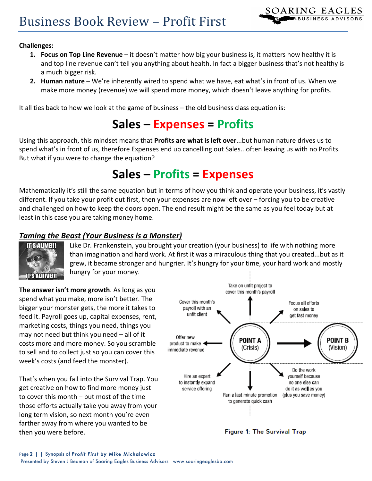

#### **Challenges:**

- **1. Focus on Top Line Revenue** it doesn't matter how big your business is, it matters how healthy it is and top line revenue can't tell you anything about health. In fact a bigger business that's not healthy is a much bigger risk.
- **2. Human nature** We're inherently wired to spend what we have, eat what's in front of us. When we make more money (revenue) we will spend more money, which doesn't leave anything for profits.

It all ties back to how we look at the game of business – the old business class equation is:

# **Sales(– Expenses =(Profits**

Using this approach, this mindset means that Profits are what is left over...but human nature drives us to spend what's in front of us, therefore Expenses end up cancelling out Sales...often leaving us with no Profits. But what if you were to change the equation?

# **Sales(– Profits =(Expenses**

Mathematically it's still the same equation but in terms of how you think and operate your business, it's vastly different. If you take your profit out first, then your expenses are now left over – forcing you to be creative and challenged on how to keep the doors open. The end result might be the same as you feel today but at least in this case you are taking money home.

#### **Taming the Beast (Your Business is a Monster)**



Like Dr. Frankenstein, you brought your creation (your business) to life with nothing more than imagination and hard work. At first it was a miraculous thing that you created...but as it grew, it became stronger and hungrier. It's hungry for your time, your hard work and mostly hungry for your money.

The answer isn't more growth. As long as you spend what you make, more isn't better. The bigger your monster gets, the more it takes to feed it. Payroll goes up, capital expenses, rent, marketing costs, things you need, things you may not need but think you need  $-$  all of it costs more and more money. So you scramble to sell and to collect just so you can cover this week's costs (and feed the monster).

That's when you fall into the Survival Trap. You get creative on how to find more money just to cover this month – but most of the time those efforts actually take you away from your long term vision, so next month you're even farther away from where you wanted to be then you were before.



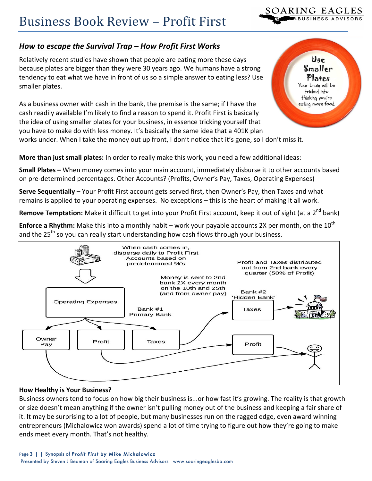

Use  $\mathbf{S}\mathbf{m}\mathbf{a}$ ller Plates Your brain will be tricked into thinking you're eating more food.

## *How to escape the Survival Trap – How Profit First Works*

Relatively recent studies have shown that people are eating more these days because plates are bigger than they were 30 years ago. We humans have a strong tendency to eat what we have in front of us so a simple answer to eating less? Use smaller plates.

As a business owner with cash in the bank, the premise is the same; if I have the cash readily available I'm likely to find a reason to spend it. Profit First is basically the idea of using smaller plates for your business, in essence tricking yourself that you have to make do with less money. It's basically the same idea that a 401K plan

works under. When I take the money out up front, I don't notice that it's gone, so I don't miss it.

**More than just small plates:** In order to really make this work, you need a few additional ideas:

**Small Plates -** When money comes into your main account, immediately disburse it to other accounts based on pre-determined percentages. Other Accounts? (Profits, Owner's Pay, Taxes, Operating Expenses)

**Serve Sequentially** – Your Profit First account gets served first, then Owner's Pay, then Taxes and what remains is applied to your operating expenses. No exceptions – this is the heart of making it all work.

Remove Temptation: Make it difficult to get into your Profit First account, keep it out of sight (at a 2<sup>nd</sup> bank)

**Enforce a Rhythm:** Make this into a monthly habit – work your payable accounts 2X per month, on the 10<sup>th</sup> and the  $25^{th}$  so you can really start understanding how cash flows through your business.



#### **How Healthy is Your Business?**

Business owners tend to focus on how big their business is...or how fast it's growing. The reality is that growth or size doesn't mean anything if the owner isn't pulling money out of the business and keeping a fair share of it. It may be surprising to a lot of people, but many businesses run on the ragged edge, even award winning entrepreneurs (Michalowicz won awards) spend a lot of time trying to figure out how they're going to make ends meet every month. That's not healthy.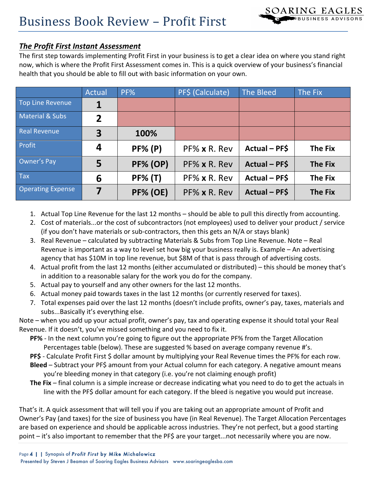### **The Profit First Instant Assessment**

The first step towards implementing Profit First in your business is to get a clear idea on where you stand right now, which is where the Profit First Assessment comes in. This is a quick overview of your business's financial health that you should be able to fill out with basic information on your own.

|                          | <b>Actual</b>           | PF%             | PF\$ (Calculate)     | The Bleed            | The Fix        |
|--------------------------|-------------------------|-----------------|----------------------|----------------------|----------------|
| Top Line Revenue         | 1                       |                 |                      |                      |                |
| Material & Subs          | $\overline{2}$          |                 |                      |                      |                |
| Real Revenue             | $\overline{\mathbf{3}}$ | 100%            |                      |                      |                |
| <b>Profit</b>            | 4                       | <b>PF% (P)</b>  | PF% x R. Rev         | Actual - PF\$        | <b>The Fix</b> |
| Owner's Pay              | 5                       | <b>PF% (OP)</b> | $PF% \times R$ . Rev | <b>Actual - PF\$</b> | <b>The Fix</b> |
| Tax                      | 6                       | <b>PF% (T)</b>  | PF% x R. Rev         | Actual - PF\$        | <b>The Fix</b> |
| <b>Operating Expense</b> | 7                       | <b>PF% (OE)</b> | PF% x R. Rev         | <b>Actual - PF\$</b> | <b>The Fix</b> |

- 1. Actual Top Line Revenue for the last 12 months should be able to pull this directly from accounting.
- 2. Cost of materials...or the cost of subcontractors (not employees) used to deliver your product / service (if you don't have materials or sub-contractors, then this gets an  $N/A$  or stays blank)
- 3. Real Revenue calculated by subtracting Materials & Subs from Top Line Revenue. Note Real Revenue is important as a way to level set how big your business really is. Example – An advertising agency that has \$10M in top line revenue, but \$8M of that is pass through of advertising costs.
- 4. Actual profit from the last 12 months (either accumulated or distributed) this should be money that's in addition to a reasonable salary for the work you do for the company.
- 5. Actual pay to yourself and any other owners for the last 12 months.
- 6. Actual money paid towards taxes in the last 12 months (or currently reserved for taxes).
- 7. Total expenses paid over the last 12 months (doesn't include profits, owner's pay, taxes, materials and subs...Basically it's everything else.

Note – when you add up your actual profit, owner's pay, tax and operating expense it should total your Real Revenue. If it doesn't, you've missed something and you need to fix it.

**PF%** - In the next column you're going to figure out the appropriate PF% from the Target Allocation Percentages table (below). These are suggested % based on average company revenue #'s.

**PF\$** - Calculate Profit First \$ dollar amount by multiplying your Real Revenue times the PF% for each row.

**Bleed** – Subtract your PF\$ amount from your Actual column for each category. A negative amount means you're bleeding money in that category (i.e. you're not claiming enough profit)

**The Fix** – final column is a simple increase or decrease indicating what you need to do to get the actuals in line with the PF\$ dollar amount for each category. If the bleed is negative you would put increase.

That's it. A quick assessment that will tell you if you are taking out an appropriate amount of Profit and Owner's Pay (and taxes) for the size of business you have (in Real Revenue). The Target Allocation Percentages are based on experience and should be applicable across industries. They're not perfect, but a good starting point – it's also important to remember that the PF\$ are your target...not necessarily where you are now.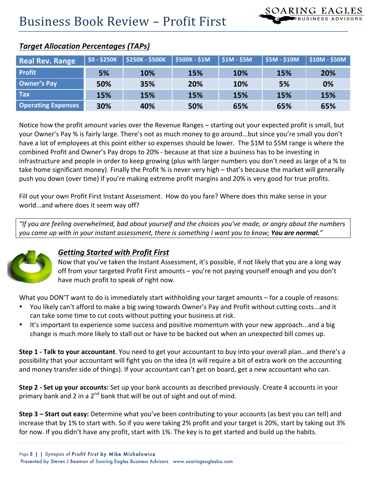| <b>Real Rev. Range</b>    | $$0 - $250K$$ | \$250K - \$500K   \$500K - \$1M |     | $\frac{1}{2}$ \$1M - \$5M | $\frac{1}{2}$ \$5M - \$10M | $\frac{1}{2}$ \$10M - \$50M |
|---------------------------|---------------|---------------------------------|-----|---------------------------|----------------------------|-----------------------------|
| <b>Profit</b>             | 5%            | 10%                             | 15% | 10%                       | 15%                        | 20%                         |
| <b>Owner's Pay</b>        | 50%           | 35%                             | 20% | 10%                       | 5%                         | 0%                          |
| <b>Tax</b>                | 15%           | 15%                             | 15% | 15%                       | 15%                        | 15%                         |
| <b>Operating Expenses</b> | 30%           | 40%                             | 50% | 65%                       | 65%                        | 65%                         |

### **Target Allocation Percentages (TAPs)**

Notice how the profit amount varies over the Revenue Ranges – starting out your expected profit is small, but your Owner's Pay % is fairly large. There's not as much money to go around...but since you're small you don't have a lot of employees at this point either so expenses should be lower. The \$1M to \$5M range is where the combined Profit and Owner's Pay drops to 20% - because at that size a business has to be investing in infrastructure and people in order to keep growing (plus with larger numbers you don't need as large of a % to take home significant money). Finally the Profit % is never very high – that's because the market will generally push you down (over time) if you're making extreme profit margins and 20% is very good for true profits.

Fill out your own Profit First Instant Assessment. How do you fare? Where does this make sense in your world...and where does it seem way off?

"If you are feeling overwhelmed, bad about yourself and the choices you've made, or angry about the numbers *you came up with in your instant assessment, there is something I want you to know; You are normal.*"



### *Getting#Started#with#Profit#First*

Now that you've taken the Instant Assessment, it's possible, if not likely that you are a long way off from your targeted Profit First amounts – you're not paying yourself enough and you don't have much profit to speak of right now.

What you DON'T want to do is immediately start withholding your target amounts – for a couple of reasons:

- You likely can't afford to make a big swing towards Owner's Pay and Profit without cutting costs...and it can take some time to cut costs without putting your business at risk.
- It's important to experience some success and positive momentum with your new approach...and a big change is much more likely to stall out or have to be backed out when an unexpected bill comes up.

**Step 1** - Talk to your accountant. You need to get your accountant to buy into your overall plan...and there's a possibility that your accountant will fight you on the idea (it will require a bit of extra work on the accounting and money transfer side of things). If your accountant can't get on board, get a new accountant who can.

**Step 2 - Set up your accounts:** Set up your bank accounts as described previously. Create 4 accounts in your primary bank and 2 in a  $2^{nd}$  bank that will be out of sight and out of mind.

**Step 3 – Start out easy:** Determine what you've been contributing to your accounts (as best you can tell) and increase that by 1% to start with. So if you were taking 2% profit and your target is 20%, start by taking out 3% for now. If you didn't have any profit, start with 1%. The key is to get started and build up the habits.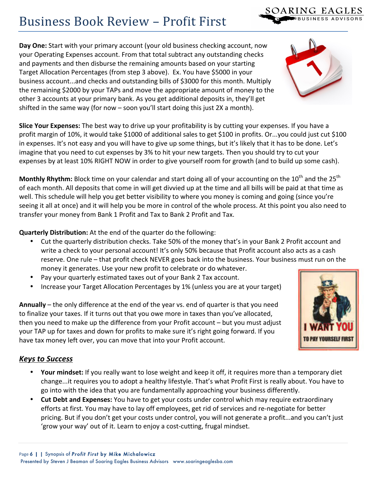**Day One:** Start with your primary account (your old business checking account, now your Operating Expenses account. From that total subtract any outstanding checks and payments and then disburse the remaining amounts based on your starting Target Allocation Percentages (from step 3 above). Ex. You have \$5000 in your business account...and checks and outstanding bills of \$3000 for this month. Multiply the remaining \$2000 by your TAPs and move the appropriate amount of money to the other 3 accounts at your primary bank. As you get additional deposits in, they'll get shifted in the same way (for now – soon you'll start doing this just 2X a month).

Slice Your Expenses: The best way to drive up your profitability is by cutting your expenses. If you have a profit margin of 10%, it would take \$1000 of additional sales to get \$100 in profits. Or...you could just cut \$100 in expenses. It's not easy and you will have to give up some things, but it's likely that it has to be done. Let's imagine that you need to cut expenses by 3% to hit your new targets. Then you should try to cut your expenses by at least 10% RIGHT NOW in order to give yourself room for growth (and to build up some cash).

Monthly Rhythm: Block time on your calendar and start doing all of your accounting on the 10<sup>th</sup> and the 25<sup>th</sup> of each month. All deposits that come in will get divvied up at the time and all bills will be paid at that time as well. This schedule will help you get better visibility to where you money is coming and going (since you're seeing it all at once) and it will help you be more in control of the whole process. At this point you also need to transfer your money from Bank 1 Profit and Tax to Bank 2 Profit and Tax.

**Quarterly Distribution:** At the end of the quarter do the following:

- Cut the quarterly distribution checks. Take 50% of the money that's in your Bank 2 Profit account and write a check to your personal account! It's only 50% because that Profit account also acts as a cash reserve. One rule – that profit check NEVER goes back into the business. Your business must run on the money it generates. Use your new profit to celebrate or do whatever.
- Pay your quarterly estimated taxes out of your Bank 2 Tax account.
- Increase your Target Allocation Percentages by 1% (unless you are at your target)

**Annually** – the only difference at the end of the year vs. end of quarter is that you need to finalize your taxes. If it turns out that you owe more in taxes than you've allocated, then you need to make up the difference from your Profit account – but you must adjust your TAP up for taxes and down for profits to make sure it's right going forward. If you have tax money left over, you can move that into your Profit account.

# *Keys to Success*

- Your mindset: If you really want to lose weight and keep it off, it requires more than a temporary diet change...it requires you to adopt a healthy lifestyle. That's what Profit First is really about. You have to go into with the idea that you are fundamentally approaching your business differently.
- **Cut Debt and Expenses:** You have to get your costs under control which may require extraordinary efforts at first. You may have to lay off employees, get rid of services and re-negotiate for better pricing. But if you don't get your costs under control, you will not generate a profit...and you can't just 'grow your way' out of it. Learn to enjoy a cost-cutting, frugal mindset.